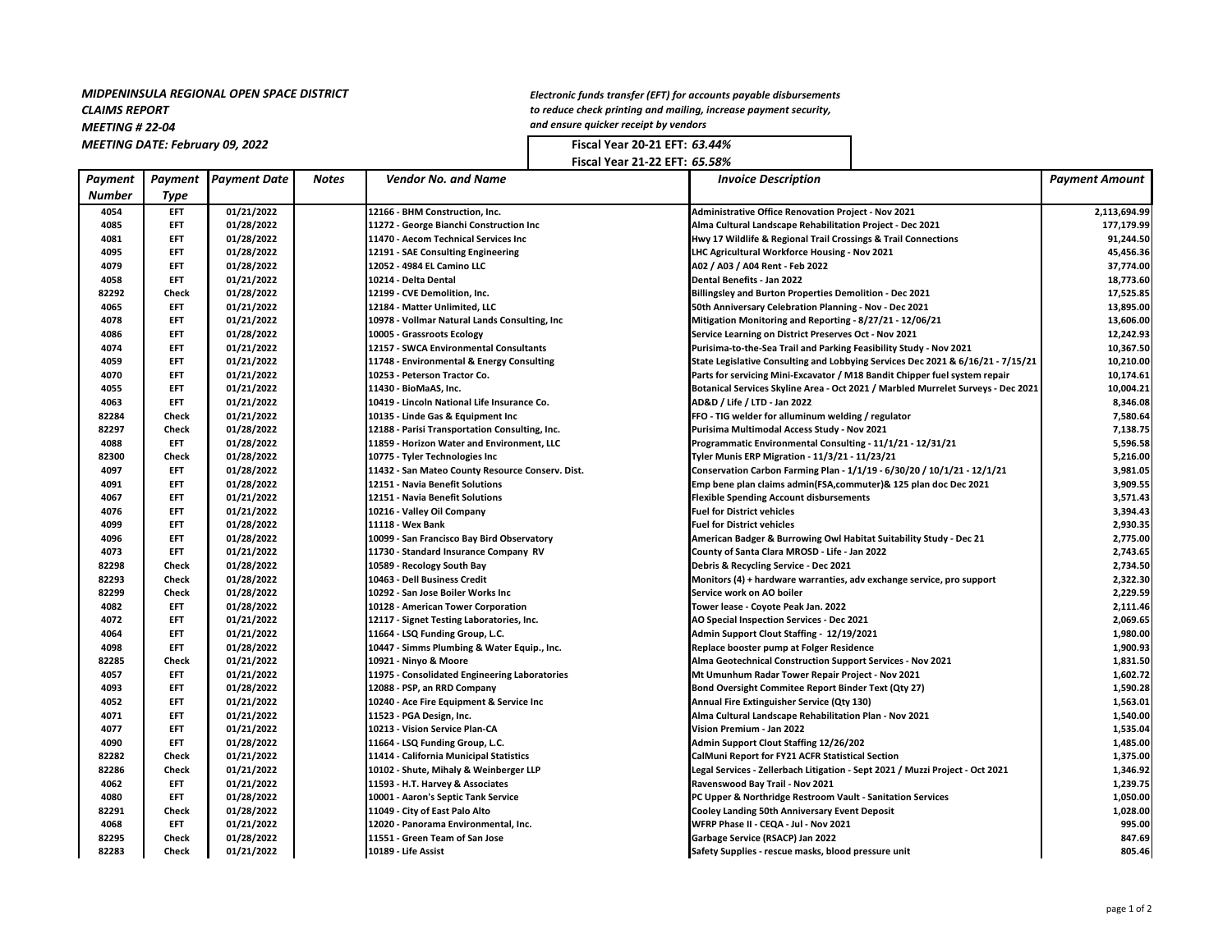## *MIDPENINSULA REGIONAL OPEN SPACE DISTRICT CLAIMS REPORT MEETING # 22-04* **MEETING DATE: February 09, 2022 Fiscal Year 20-21 EFT: 63.44% Fiscal Year 20-21 EFT: 63.44%**

*Electronic funds transfer (EFT) for accounts payable disbursements to reduce check printing and mailing, increase payment security, and ensure quicker receipt by vendors*

**Fiscal Year 21-22 EFT:** *65.58%*

| <b>Number</b><br>Type<br><b>EFT</b><br>01/21/2022<br>4054<br>12166 - BHM Construction, Inc.<br><b>Administrative Office Renovation Project - Nov 2021</b><br>4085<br><b>EFT</b><br>01/28/2022<br>11272 - George Bianchi Construction Inc<br>Alma Cultural Landscape Rehabilitation Project - Dec 2021<br>4081<br><b>EFT</b><br>01/28/2022<br>11470 - Aecom Technical Services Inc<br>Hwy 17 Wildlife & Regional Trail Crossings & Trail Connections<br>EFT<br>01/28/2022<br>12191 - SAE Consulting Engineering<br>LHC Agricultural Workforce Housing - Nov 2021<br>4095<br>EFT<br>01/28/2022<br>12052 - 4984 EL Camino LLC<br>A02 / A03 / A04 Rent - Feb 2022<br>4079<br>4058<br><b>EFT</b><br>01/21/2022<br>10214 - Delta Dental<br>Dental Benefits - Jan 2022<br>82292<br>01/28/2022<br>Check<br>12199 - CVE Demolition, Inc.<br><b>Billingsley and Burton Properties Demolition - Dec 2021</b><br>01/21/2022<br>4065<br><b>EFT</b><br>12184 - Matter Unlimited, LLC<br>50th Anniversary Celebration Planning - Nov - Dec 2021<br>4078<br><b>EFT</b><br>01/21/2022<br>10978 - Vollmar Natural Lands Consulting, Inc<br>Mitigation Monitoring and Reporting - 8/27/21 - 12/06/21<br><b>EFT</b><br>01/28/2022<br>4086<br>10005 - Grassroots Ecology<br>Service Learning on District Preserves Oct - Nov 2021<br><b>EFT</b><br>01/21/2022<br>4074<br>12157 - SWCA Environmental Consultants<br>Purisima-to-the-Sea Trail and Parking Feasibility Study - Nov 2021<br>01/21/2022<br>4059<br>EFT<br>11748 - Environmental & Energy Consulting<br>State Legislative Consulting and Lobbying Services Dec 2021 & 6/16/21 - 7/15/21<br>4070<br>EFT<br>01/21/2022<br>Parts for servicing Mini-Excavator / M18 Bandit Chipper fuel system repair<br>10253 - Peterson Tractor Co. | <b>Payment Amount</b> |
|--------------------------------------------------------------------------------------------------------------------------------------------------------------------------------------------------------------------------------------------------------------------------------------------------------------------------------------------------------------------------------------------------------------------------------------------------------------------------------------------------------------------------------------------------------------------------------------------------------------------------------------------------------------------------------------------------------------------------------------------------------------------------------------------------------------------------------------------------------------------------------------------------------------------------------------------------------------------------------------------------------------------------------------------------------------------------------------------------------------------------------------------------------------------------------------------------------------------------------------------------------------------------------------------------------------------------------------------------------------------------------------------------------------------------------------------------------------------------------------------------------------------------------------------------------------------------------------------------------------------------------------------------------------------------------------------------------------------------------------------------------------------------|-----------------------|
|                                                                                                                                                                                                                                                                                                                                                                                                                                                                                                                                                                                                                                                                                                                                                                                                                                                                                                                                                                                                                                                                                                                                                                                                                                                                                                                                                                                                                                                                                                                                                                                                                                                                                                                                                                          |                       |
|                                                                                                                                                                                                                                                                                                                                                                                                                                                                                                                                                                                                                                                                                                                                                                                                                                                                                                                                                                                                                                                                                                                                                                                                                                                                                                                                                                                                                                                                                                                                                                                                                                                                                                                                                                          | 2,113,694.99          |
|                                                                                                                                                                                                                                                                                                                                                                                                                                                                                                                                                                                                                                                                                                                                                                                                                                                                                                                                                                                                                                                                                                                                                                                                                                                                                                                                                                                                                                                                                                                                                                                                                                                                                                                                                                          | 177,179.99            |
|                                                                                                                                                                                                                                                                                                                                                                                                                                                                                                                                                                                                                                                                                                                                                                                                                                                                                                                                                                                                                                                                                                                                                                                                                                                                                                                                                                                                                                                                                                                                                                                                                                                                                                                                                                          | 91,244.50             |
|                                                                                                                                                                                                                                                                                                                                                                                                                                                                                                                                                                                                                                                                                                                                                                                                                                                                                                                                                                                                                                                                                                                                                                                                                                                                                                                                                                                                                                                                                                                                                                                                                                                                                                                                                                          | 45,456.36             |
|                                                                                                                                                                                                                                                                                                                                                                                                                                                                                                                                                                                                                                                                                                                                                                                                                                                                                                                                                                                                                                                                                                                                                                                                                                                                                                                                                                                                                                                                                                                                                                                                                                                                                                                                                                          | 37,774.00             |
|                                                                                                                                                                                                                                                                                                                                                                                                                                                                                                                                                                                                                                                                                                                                                                                                                                                                                                                                                                                                                                                                                                                                                                                                                                                                                                                                                                                                                                                                                                                                                                                                                                                                                                                                                                          | 18,773.60             |
|                                                                                                                                                                                                                                                                                                                                                                                                                                                                                                                                                                                                                                                                                                                                                                                                                                                                                                                                                                                                                                                                                                                                                                                                                                                                                                                                                                                                                                                                                                                                                                                                                                                                                                                                                                          | 17,525.85             |
|                                                                                                                                                                                                                                                                                                                                                                                                                                                                                                                                                                                                                                                                                                                                                                                                                                                                                                                                                                                                                                                                                                                                                                                                                                                                                                                                                                                                                                                                                                                                                                                                                                                                                                                                                                          | 13,895.00             |
|                                                                                                                                                                                                                                                                                                                                                                                                                                                                                                                                                                                                                                                                                                                                                                                                                                                                                                                                                                                                                                                                                                                                                                                                                                                                                                                                                                                                                                                                                                                                                                                                                                                                                                                                                                          | 13,606.00             |
|                                                                                                                                                                                                                                                                                                                                                                                                                                                                                                                                                                                                                                                                                                                                                                                                                                                                                                                                                                                                                                                                                                                                                                                                                                                                                                                                                                                                                                                                                                                                                                                                                                                                                                                                                                          | 12,242.93             |
|                                                                                                                                                                                                                                                                                                                                                                                                                                                                                                                                                                                                                                                                                                                                                                                                                                                                                                                                                                                                                                                                                                                                                                                                                                                                                                                                                                                                                                                                                                                                                                                                                                                                                                                                                                          | 10,367.50             |
|                                                                                                                                                                                                                                                                                                                                                                                                                                                                                                                                                                                                                                                                                                                                                                                                                                                                                                                                                                                                                                                                                                                                                                                                                                                                                                                                                                                                                                                                                                                                                                                                                                                                                                                                                                          | 10,210.00             |
|                                                                                                                                                                                                                                                                                                                                                                                                                                                                                                                                                                                                                                                                                                                                                                                                                                                                                                                                                                                                                                                                                                                                                                                                                                                                                                                                                                                                                                                                                                                                                                                                                                                                                                                                                                          | 10,174.61             |
| EFT<br>01/21/2022<br>4055<br>11430 - BioMaAS, Inc.<br>Botanical Services Skyline Area - Oct 2021 / Marbled Murrelet Surveys - Dec 2021                                                                                                                                                                                                                                                                                                                                                                                                                                                                                                                                                                                                                                                                                                                                                                                                                                                                                                                                                                                                                                                                                                                                                                                                                                                                                                                                                                                                                                                                                                                                                                                                                                   | 10,004.21             |
| 4063<br><b>EFT</b><br>01/21/2022<br>10419 - Lincoln National Life Insurance Co.<br>AD&D / Life / LTD - Jan 2022                                                                                                                                                                                                                                                                                                                                                                                                                                                                                                                                                                                                                                                                                                                                                                                                                                                                                                                                                                                                                                                                                                                                                                                                                                                                                                                                                                                                                                                                                                                                                                                                                                                          | 8,346.08              |
| 82284<br>01/21/2022<br>10135 - Linde Gas & Equipment Inc<br>FFO - TIG welder for alluminum welding / regulator<br>Check                                                                                                                                                                                                                                                                                                                                                                                                                                                                                                                                                                                                                                                                                                                                                                                                                                                                                                                                                                                                                                                                                                                                                                                                                                                                                                                                                                                                                                                                                                                                                                                                                                                  | 7,580.64              |
| 82297<br>Check<br>01/28/2022<br>12188 - Parisi Transportation Consulting, Inc.<br>Purisima Multimodal Access Study - Nov 2021                                                                                                                                                                                                                                                                                                                                                                                                                                                                                                                                                                                                                                                                                                                                                                                                                                                                                                                                                                                                                                                                                                                                                                                                                                                                                                                                                                                                                                                                                                                                                                                                                                            | 7,138.75              |
| 4088<br>01/28/2022<br>11859 - Horizon Water and Environment, LLC<br>Programmatic Environmental Consulting - 11/1/21 - 12/31/21<br>EFT.                                                                                                                                                                                                                                                                                                                                                                                                                                                                                                                                                                                                                                                                                                                                                                                                                                                                                                                                                                                                                                                                                                                                                                                                                                                                                                                                                                                                                                                                                                                                                                                                                                   | 5,596.58              |
| 82300<br>01/28/2022<br>Check<br>10775 - Tyler Technologies Inc<br>Tyler Munis ERP Migration - 11/3/21 - 11/23/21                                                                                                                                                                                                                                                                                                                                                                                                                                                                                                                                                                                                                                                                                                                                                                                                                                                                                                                                                                                                                                                                                                                                                                                                                                                                                                                                                                                                                                                                                                                                                                                                                                                         | 5,216.00              |
| 4097<br><b>EFT</b><br>01/28/2022<br>11432 - San Mateo County Resource Conserv. Dist.<br>Conservation Carbon Farming Plan - 1/1/19 - 6/30/20 / 10/1/21 - 12/1/21                                                                                                                                                                                                                                                                                                                                                                                                                                                                                                                                                                                                                                                                                                                                                                                                                                                                                                                                                                                                                                                                                                                                                                                                                                                                                                                                                                                                                                                                                                                                                                                                          | 3,981.05              |
| <b>EFT</b><br>01/28/2022<br>4091<br>12151 - Navia Benefit Solutions<br>Emp bene plan claims admin(FSA,commuter)& 125 plan doc Dec 2021                                                                                                                                                                                                                                                                                                                                                                                                                                                                                                                                                                                                                                                                                                                                                                                                                                                                                                                                                                                                                                                                                                                                                                                                                                                                                                                                                                                                                                                                                                                                                                                                                                   | 3,909.55              |
| EFT<br>01/21/2022<br>4067<br>12151 - Navia Benefit Solutions<br><b>Flexible Spending Account disbursements</b>                                                                                                                                                                                                                                                                                                                                                                                                                                                                                                                                                                                                                                                                                                                                                                                                                                                                                                                                                                                                                                                                                                                                                                                                                                                                                                                                                                                                                                                                                                                                                                                                                                                           | 3,571.43              |
| <b>EFT</b><br>4076<br>01/21/2022<br>10216 - Valley Oil Company<br><b>Fuel for District vehicles</b>                                                                                                                                                                                                                                                                                                                                                                                                                                                                                                                                                                                                                                                                                                                                                                                                                                                                                                                                                                                                                                                                                                                                                                                                                                                                                                                                                                                                                                                                                                                                                                                                                                                                      | 3,394.43              |
| EFT<br>01/28/2022<br>11118 - Wex Bank<br><b>Fuel for District vehicles</b><br>4099                                                                                                                                                                                                                                                                                                                                                                                                                                                                                                                                                                                                                                                                                                                                                                                                                                                                                                                                                                                                                                                                                                                                                                                                                                                                                                                                                                                                                                                                                                                                                                                                                                                                                       | 2,930.35              |
| <b>EFT</b><br>01/28/2022<br>4096<br>10099 - San Francisco Bay Bird Observatory<br>American Badger & Burrowing Owl Habitat Suitability Study - Dec 21                                                                                                                                                                                                                                                                                                                                                                                                                                                                                                                                                                                                                                                                                                                                                                                                                                                                                                                                                                                                                                                                                                                                                                                                                                                                                                                                                                                                                                                                                                                                                                                                                     | 2,775.00              |
| 01/21/2022<br>4073<br><b>EFT</b><br>11730 - Standard Insurance Company RV<br>County of Santa Clara MROSD - Life - Jan 2022                                                                                                                                                                                                                                                                                                                                                                                                                                                                                                                                                                                                                                                                                                                                                                                                                                                                                                                                                                                                                                                                                                                                                                                                                                                                                                                                                                                                                                                                                                                                                                                                                                               | 2,743.65              |
| 82298<br>01/28/2022<br>Check<br>10589 - Recology South Bay<br>Debris & Recycling Service - Dec 2021                                                                                                                                                                                                                                                                                                                                                                                                                                                                                                                                                                                                                                                                                                                                                                                                                                                                                                                                                                                                                                                                                                                                                                                                                                                                                                                                                                                                                                                                                                                                                                                                                                                                      | 2,734.50              |
| 82293<br>01/28/2022<br>10463 - Dell Business Credit<br>Check<br>Monitors (4) + hardware warranties, adv exchange service, pro support                                                                                                                                                                                                                                                                                                                                                                                                                                                                                                                                                                                                                                                                                                                                                                                                                                                                                                                                                                                                                                                                                                                                                                                                                                                                                                                                                                                                                                                                                                                                                                                                                                    | 2,322.30              |
| 82299<br>01/28/2022<br>Check<br>10292 - San Jose Boiler Works Inc<br>Service work on AO boiler                                                                                                                                                                                                                                                                                                                                                                                                                                                                                                                                                                                                                                                                                                                                                                                                                                                                                                                                                                                                                                                                                                                                                                                                                                                                                                                                                                                                                                                                                                                                                                                                                                                                           | 2,229.59              |
| 01/28/2022<br>4082<br><b>EFT</b><br>Tower lease - Coyote Peak Jan. 2022<br>10128 - American Tower Corporation                                                                                                                                                                                                                                                                                                                                                                                                                                                                                                                                                                                                                                                                                                                                                                                                                                                                                                                                                                                                                                                                                                                                                                                                                                                                                                                                                                                                                                                                                                                                                                                                                                                            | 2,111.46              |
| 01/21/2022<br>4072<br><b>EFT</b><br>12117 - Signet Testing Laboratories, Inc.<br>AO Special Inspection Services - Dec 2021                                                                                                                                                                                                                                                                                                                                                                                                                                                                                                                                                                                                                                                                                                                                                                                                                                                                                                                                                                                                                                                                                                                                                                                                                                                                                                                                                                                                                                                                                                                                                                                                                                               | 2,069.65              |
| 4064<br><b>EFT</b><br>01/21/2022<br>11664 - LSQ Funding Group, L.C.<br>Admin Support Clout Staffing - 12/19/2021                                                                                                                                                                                                                                                                                                                                                                                                                                                                                                                                                                                                                                                                                                                                                                                                                                                                                                                                                                                                                                                                                                                                                                                                                                                                                                                                                                                                                                                                                                                                                                                                                                                         | 1,980.00              |
| 4098<br><b>EFT</b><br>01/28/2022<br>10447 - Simms Plumbing & Water Equip., Inc.<br>Replace booster pump at Folger Residence                                                                                                                                                                                                                                                                                                                                                                                                                                                                                                                                                                                                                                                                                                                                                                                                                                                                                                                                                                                                                                                                                                                                                                                                                                                                                                                                                                                                                                                                                                                                                                                                                                              | 1,900.93              |
| 82285<br>01/21/2022<br>Check<br>10921 - Ninyo & Moore<br>Alma Geotechnical Construction Support Services - Nov 2021                                                                                                                                                                                                                                                                                                                                                                                                                                                                                                                                                                                                                                                                                                                                                                                                                                                                                                                                                                                                                                                                                                                                                                                                                                                                                                                                                                                                                                                                                                                                                                                                                                                      | 1,831.50              |
| <b>EFT</b><br>01/21/2022<br>4057<br>11975 - Consolidated Engineering Laboratories<br>Mt Umunhum Radar Tower Repair Project - Nov 2021                                                                                                                                                                                                                                                                                                                                                                                                                                                                                                                                                                                                                                                                                                                                                                                                                                                                                                                                                                                                                                                                                                                                                                                                                                                                                                                                                                                                                                                                                                                                                                                                                                    | 1,602.72              |
| <b>EFT</b><br>01/28/2022<br>Bond Oversight Commitee Report Binder Text (Qty 27)<br>4093<br>12088 - PSP, an RRD Company                                                                                                                                                                                                                                                                                                                                                                                                                                                                                                                                                                                                                                                                                                                                                                                                                                                                                                                                                                                                                                                                                                                                                                                                                                                                                                                                                                                                                                                                                                                                                                                                                                                   | 1,590.28              |
| <b>EFT</b><br>01/21/2022<br>4052<br>10240 - Ace Fire Equipment & Service Inc<br>Annual Fire Extinguisher Service (Qty 130)                                                                                                                                                                                                                                                                                                                                                                                                                                                                                                                                                                                                                                                                                                                                                                                                                                                                                                                                                                                                                                                                                                                                                                                                                                                                                                                                                                                                                                                                                                                                                                                                                                               | 1,563.01              |
| 4071<br>EFT<br>01/21/2022<br>11523 - PGA Design, Inc.<br>Alma Cultural Landscape Rehabilitation Plan - Nov 2021                                                                                                                                                                                                                                                                                                                                                                                                                                                                                                                                                                                                                                                                                                                                                                                                                                                                                                                                                                                                                                                                                                                                                                                                                                                                                                                                                                                                                                                                                                                                                                                                                                                          | 1,540.00              |
| <b>EFT</b><br>4077<br>01/21/2022<br>10213 - Vision Service Plan-CA<br>Vision Premium - Jan 2022                                                                                                                                                                                                                                                                                                                                                                                                                                                                                                                                                                                                                                                                                                                                                                                                                                                                                                                                                                                                                                                                                                                                                                                                                                                                                                                                                                                                                                                                                                                                                                                                                                                                          | 1,535.04              |
| 4090<br><b>EFT</b><br>01/28/2022<br>11664 - LSQ Funding Group, L.C.<br>Admin Support Clout Staffing 12/26/202                                                                                                                                                                                                                                                                                                                                                                                                                                                                                                                                                                                                                                                                                                                                                                                                                                                                                                                                                                                                                                                                                                                                                                                                                                                                                                                                                                                                                                                                                                                                                                                                                                                            | 1,485.00              |
| 82282<br>01/21/2022<br>Check<br>11414 - California Municipal Statistics<br>CalMuni Report for FY21 ACFR Statistical Section                                                                                                                                                                                                                                                                                                                                                                                                                                                                                                                                                                                                                                                                                                                                                                                                                                                                                                                                                                                                                                                                                                                                                                                                                                                                                                                                                                                                                                                                                                                                                                                                                                              | 1,375.00              |
| 82286<br>01/21/2022<br>10102 - Shute, Mihaly & Weinberger LLP<br>Legal Services - Zellerbach Litigation - Sept 2021 / Muzzi Project - Oct 2021<br>Check                                                                                                                                                                                                                                                                                                                                                                                                                                                                                                                                                                                                                                                                                                                                                                                                                                                                                                                                                                                                                                                                                                                                                                                                                                                                                                                                                                                                                                                                                                                                                                                                                  | 1,346.92              |
| 01/21/2022<br>4062<br><b>EFT</b><br>11593 - H.T. Harvey & Associates<br>Ravenswood Bay Trail - Nov 2021                                                                                                                                                                                                                                                                                                                                                                                                                                                                                                                                                                                                                                                                                                                                                                                                                                                                                                                                                                                                                                                                                                                                                                                                                                                                                                                                                                                                                                                                                                                                                                                                                                                                  | 1,239.75              |
| 4080<br><b>EFT</b><br>01/28/2022<br>10001 - Aaron's Septic Tank Service<br>PC Upper & Northridge Restroom Vault - Sanitation Services                                                                                                                                                                                                                                                                                                                                                                                                                                                                                                                                                                                                                                                                                                                                                                                                                                                                                                                                                                                                                                                                                                                                                                                                                                                                                                                                                                                                                                                                                                                                                                                                                                    | 1,050.00              |
| 82291<br>01/28/2022<br>11049 - City of East Palo Alto<br>Check<br>Cooley Landing 50th Anniversary Event Deposit                                                                                                                                                                                                                                                                                                                                                                                                                                                                                                                                                                                                                                                                                                                                                                                                                                                                                                                                                                                                                                                                                                                                                                                                                                                                                                                                                                                                                                                                                                                                                                                                                                                          | 1,028.00              |
| 4068<br>EFT.<br>01/21/2022<br>12020 - Panorama Environmental, Inc.<br>WFRP Phase II - CEQA - Jul - Nov 2021                                                                                                                                                                                                                                                                                                                                                                                                                                                                                                                                                                                                                                                                                                                                                                                                                                                                                                                                                                                                                                                                                                                                                                                                                                                                                                                                                                                                                                                                                                                                                                                                                                                              | 995.00                |
| 82295<br>Check<br>01/28/2022<br>11551 - Green Team of San Jose<br>Garbage Service (RSACP) Jan 2022                                                                                                                                                                                                                                                                                                                                                                                                                                                                                                                                                                                                                                                                                                                                                                                                                                                                                                                                                                                                                                                                                                                                                                                                                                                                                                                                                                                                                                                                                                                                                                                                                                                                       | 847.69                |
| 82283<br>01/21/2022<br>Check<br>10189 - Life Assist<br>Safety Supplies - rescue masks, blood pressure unit                                                                                                                                                                                                                                                                                                                                                                                                                                                                                                                                                                                                                                                                                                                                                                                                                                                                                                                                                                                                                                                                                                                                                                                                                                                                                                                                                                                                                                                                                                                                                                                                                                                               | 805.46                |